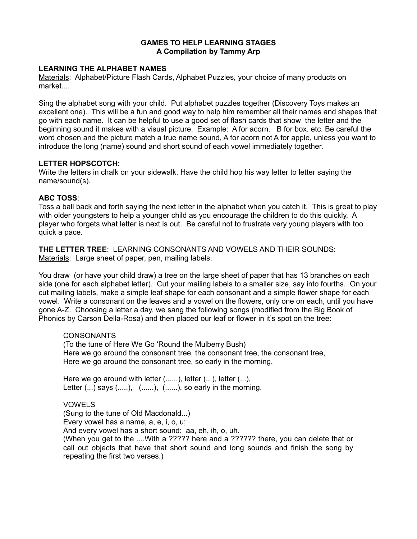## **GAMES TO HELP LEARNING STAGES A Compilation by Tammy Arp**

## **LEARNING THE ALPHABET NAMES**

Materials: Alphabet/Picture Flash Cards, Alphabet Puzzles, your choice of many products on market....

Sing the alphabet song with your child. Put alphabet puzzles together (Discovery Toys makes an excellent one). This will be a fun and good way to help him remember all their names and shapes that go with each name. It can be helpful to use a good set of flash cards that show the letter and the beginning sound it makes with a visual picture. Example: A for acorn. B for box. etc. Be careful the word chosen and the picture match a true name sound, A for acorn not A for apple, unless you want to introduce the long (name) sound and short sound of each vowel immediately together.

## **LETTER HOPSCOTCH**:

Write the letters in chalk on your sidewalk. Have the child hop his way letter to letter saying the name/sound(s).

# **ABC TOSS**:

Toss a ball back and forth saying the next letter in the alphabet when you catch it. This is great to play with older youngsters to help a younger child as you encourage the children to do this quickly. A player who forgets what letter is next is out. Be careful not to frustrate very young players with too quick a pace.

**THE LETTER TREE**: LEARNING CONSONANTS AND VOWELS AND THEIR SOUNDS: Materials: Large sheet of paper, pen, mailing labels.

You draw (or have your child draw) a tree on the large sheet of paper that has 13 branches on each side (one for each alphabet letter). Cut your mailing labels to a smaller size, say into fourths. On your cut mailing labels, make a simple leaf shape for each consonant and a simple flower shape for each vowel. Write a consonant on the leaves and a vowel on the flowers, only one on each, until you have gone A-Z. Choosing a letter a day, we sang the following songs (modified from the Big Book of Phonics by Carson Della-Rosa) and then placed our leaf or flower in it's spot on the tree:

#### **CONSONANTS**

(To the tune of Here We Go 'Round the Mulberry Bush) Here we go around the consonant tree, the consonant tree, the consonant tree, Here we go around the consonant tree, so early in the morning.

Here we go around with letter (......), letter (...), letter (...), Letter  $(...)$  says  $(......)$ ,  $(......)$ ,  $(......)$ , so early in the morning.

# VOWELS

(Sung to the tune of Old Macdonald...)

Every vowel has a name, a, e, i, o, u;

And every vowel has a short sound: aa, eh, ih, o, uh.

(When you get to the ....With a ????? here and a ?????? there, you can delete that or call out objects that have that short sound and long sounds and finish the song by repeating the first two verses.)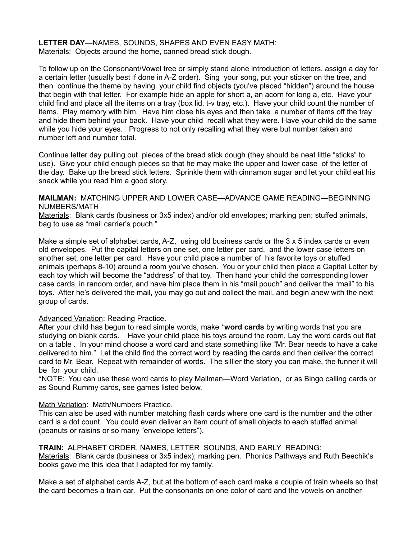**LETTER DAY**—NAMES, SOUNDS, SHAPES AND EVEN EASY MATH: Materials: Objects around the home, canned bread stick dough.

To follow up on the Consonant/Vowel tree or simply stand alone introduction of letters, assign a day for a certain letter (usually best if done in A-Z order). Sing your song, put your sticker on the tree, and then continue the theme by having your child find objects (you've placed "hidden") around the house that begin with that letter. For example hide an apple for short a, an acorn for long a, etc. Have your child find and place all the items on a tray (box lid, t-v tray, etc.). Have your child count the number of items. Play memory with him. Have him close his eyes and then take a number of items off the tray and hide them behind your back. Have your child recall what they were. Have your child do the same while you hide your eyes. Progress to not only recalling what they were but number taken and number left and number total.

Continue letter day pulling out pieces of the bread stick dough (they should be neat little "sticks" to use). Give your child enough pieces so that he may make the upper and lower case of the letter of the day. Bake up the bread stick letters. Sprinkle them with cinnamon sugar and let your child eat his snack while you read him a good story.

#### **MAILMAN:** MATCHING UPPER AND LOWER CASE—ADVANCE GAME READING—BEGINNING NUMBERS/MATH

Materials: Blank cards (business or 3x5 index) and/or old envelopes; marking pen; stuffed animals, bag to use as "mail carrier's pouch."

Make a simple set of alphabet cards, A-Z, using old business cards or the 3 x 5 index cards or even old envelopes. Put the capital letters on one set, one letter per card, and the lower case letters on another set, one letter per card. Have your child place a number of his favorite toys or stuffed animals (perhaps 8-10) around a room you've chosen. You or your child then place a Capital Letter by each toy which will become the "address" of that toy. Then hand your child the corresponding lower case cards, in random order, and have him place them in his "mail pouch" and deliver the "mail" to his toys. After he's delivered the mail, you may go out and collect the mail, and begin anew with the next group of cards.

#### Advanced Variation: Reading Practice.

After your child has begun to read simple words, make \***word cards** by writing words that you are studying on blank cards. Have your child place his toys around the room. Lay the word cards out flat on a table . In your mind choose a word card and state something like "Mr. Bear needs to have a cake delivered to him." Let the child find the correct word by reading the cards and then deliver the correct card to Mr. Bear. Repeat with remainder of words. The sillier the story you can make, the funner it will be for your child.

\*NOTE: You can use these word cards to play Mailman—Word Variation, or as Bingo calling cards or as Sound Rummy cards, see games listed below.

## Math Variation: Math/Numbers Practice.

This can also be used with number matching flash cards where one card is the number and the other card is a dot count. You could even deliver an item count of small objects to each stuffed animal (peanuts or raisins or so many "envelope letters").

**TRAIN:** ALPHABET ORDER, NAMES, LETTER SOUNDS, AND EARLY READING: Materials: Blank cards (business or 3x5 index); marking pen. Phonics Pathways and Ruth Beechik's books gave me this idea that I adapted for my family.

Make a set of alphabet cards A-Z, but at the bottom of each card make a couple of train wheels so that the card becomes a train car. Put the consonants on one color of card and the vowels on another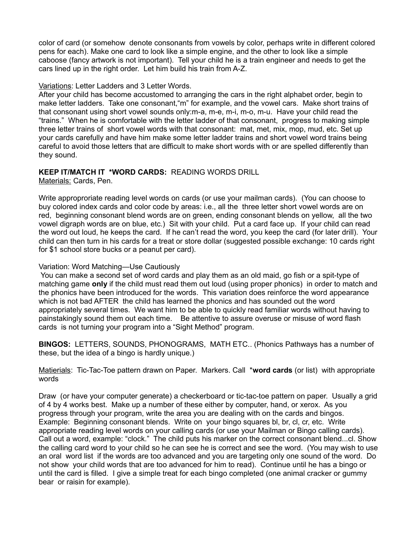color of card (or somehow denote consonants from vowels by color, perhaps write in different colored pens for each). Make one card to look like a simple engine, and the other to look like a simple caboose (fancy artwork is not important). Tell your child he is a train engineer and needs to get the cars lined up in the right order. Let him build his train from A-Z.

## Variations: Letter Ladders and 3 Letter Words.

After your child has become accustomed to arranging the cars in the right alphabet order, begin to make letter ladders. Take one consonant,"m" for example, and the vowel cars. Make short trains of that consonant using short vowel sounds only:m-a, m-e, m-i, m-o, m-u. Have your child read the "trains." When he is comfortable with the letter ladder of that consonant, progress to making simple three letter trains of short vowel words with that consonant: mat, met, mix, mop, mud, etc. Set up your cards carefully and have him make some letter ladder trains and short vowel word trains being careful to avoid those letters that are difficult to make short words with or are spelled differently than they sound.

# **KEEP IT/MATCH IT \*WORD CARDS:** READING WORDS DRILL

Materials: Cards, Pen.

Write approproriate reading level words on cards (or use your mailman cards). (You can choose to buy colored index cards and color code by areas: i.e., all the three letter short vowel words are on red, beginning consonant blend words are on green, ending consonant blends on yellow, all the two vowel digraph words are on blue, etc.) Sit with your child. Put a card face up. If your child can read the word out loud, he keeps the card. If he can't read the word, you keep the card (for later drill). Your child can then turn in his cards for a treat or store dollar (suggested possible exchange: 10 cards right for \$1 school store bucks or a peanut per card).

# Variation: Word Matching—Use Cautiously

 You can make a second set of word cards and play them as an old maid, go fish or a spit-type of matching game **only** if the child must read them out loud (using proper phonics) in order to match and the phonics have been introduced for the words. This variation does reinforce the word appearance which is not bad AFTER the child has learned the phonics and has sounded out the word appropriately several times. We want him to be able to quickly read familiar words without having to painstakingly sound them out each time. Be attentive to assure overuse or misuse of word flash cards is not turning your program into a "Sight Method" program.

**BINGOS:** LETTERS, SOUNDS, PHONOGRAMS, MATH ETC.. (Phonics Pathways has a number of these, but the idea of a bingo is hardly unique.)

Matierials: Tic-Tac-Toe pattern drawn on Paper. Markers. Call \***word cards** (or list) with appropriate words

Draw (or have your computer generate) a checkerboard or tic-tac-toe pattern on paper. Usually a grid of 4 by 4 works best. Make up a number of these either by computer, hand, or xerox. As you progress through your program, write the area you are dealing with on the cards and bingos. Example: Beginning consonant blends. Write on your bingo squares bl, br, cl, cr, etc. Write appropriate reading level words on your calling cards (or use your Mailman or Bingo calling cards). Call out a word, example: "clock." The child puts his marker on the correct consonant blend...cl. Show the calling card word to your child so he can see he is correct and see the word. (You may wish to use an oral word list if the words are too advanced and you are targeting only one sound of the word. Do not show your child words that are too advanced for him to read). Continue until he has a bingo or until the card is filled. I give a simple treat for each bingo completed (one animal cracker or gummy bear or raisin for example).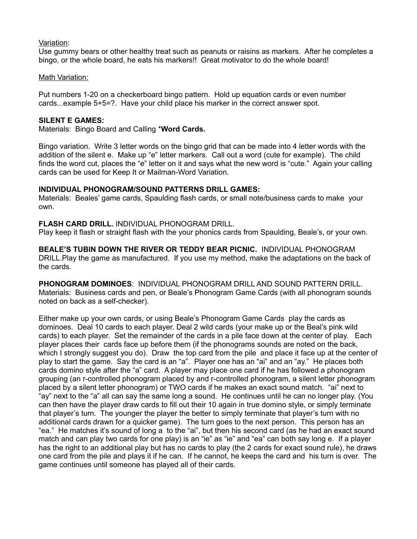# Variation:

Use gummy bears or other healthy treat such as peanuts or raisins as markers. After he completes a bingo, or the whole board, he eats his markers!! Great motivator to do the whole board!

# Math Variation:

Put numbers 1-20 on a checkerboard bingo pattern. Hold up equation cards or even number cards...example 5+5=?. Have your child place his marker in the correct answer spot.

## **SILENT E GAMES:**

Materials: Bingo Board and Calling \***Word Cards.**

Bingo variation. Write 3 letter words on the bingo grid that can be made into 4 letter words with the addition of the silent e. Make up "e" letter markers. Call out a word (cute for example). The child finds the word cut, places the "e" letter on it and says what the new word is "cute." Again your calling cards can be used for Keep It or Mailman-Word Variation.

# **INDIVIDUAL PHONOGRAM/SOUND PATTERNS DRILL GAMES:**

Materials: Beales' game cards, Spaulding flash cards, or small note/business cards to make your own.

## **FLASH CARD DRILL.** INDIVIDUAL PHONOGRAM DRILL.

Play keep it flash or straight flash with the your phonics cards from Spaulding, Beale's, or your own.

**BEALE'S TUBIN DOWN THE RIVER OR TEDDY BEAR PICNIC.** INDIVIDUAL PHONOGRAM DRILL.Play the game as manufactured. If you use my method, make the adaptations on the back of the cards.

**PHONOGRAM DOMINOES**: INDIVIDUAL PHONOGRAM DRILL AND SOUND PATTERN DRILL. Materials: Business cards and pen, or Beale's Phonogram Game Cards (with all phonogram sounds noted on back as a self-checker).

Either make up your own cards, or using Beale's Phonogram Game Cards play the cards as dominoes. Deal 10 cards to each player. Deal 2 wild cards (your make up or the Beal's pink wild cards) to each player. Set the remainder of the cards in a pile face down at the center of play. Each player places their cards face up before them (if the phonograms sounds are noted on the back, which I strongly suggest you do). Draw the top card from the pile and place it face up at the center of play to start the game. Say the card is an "a". Player one has an "ai" and an "ay." He places both cards domino style after the "a" card. A player may place one card if he has followed a phonogram grouping (an r-controlled phonogram placed by and r-controlled phonogram, a silent letter phonogram placed by a silent letter phonogram) or TWO cards if he makes an exact sound match. "ai" next to "ay" next to the "a" all can say the same long a sound. He continues until he can no longer play. (You can then have the player draw cards to fill out their 10 again in true domino style, or simply terminate that player's turn. The younger the player the better to simply terminate that player's turn with no additional cards drawn for a quicker game). The turn goes to the next person. This person has an "ea." He matches it's sound of long a to the "ai", but then his second card (as he had an exact sound match and can play two cards for one play) is an "ie" as "ie" and "ea" can both say long e. If a player has the right to an additional play but has no cards to play (the 2 cards for exact sound rule), he draws one card from the pile and plays it if he can. If he cannot, he keeps the card and his turn is over. The game continues until someone has played all of their cards.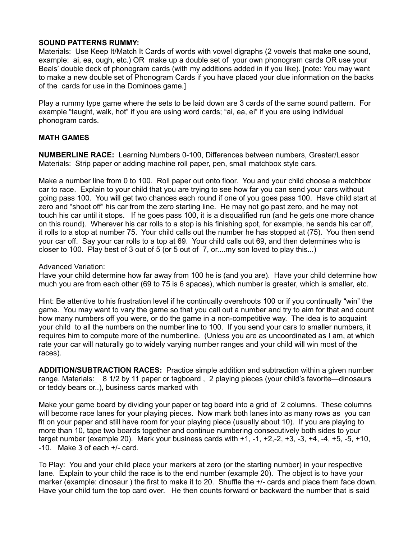## **SOUND PATTERNS RUMMY:**

Materials: Use Keep It/Match It Cards of words with vowel digraphs (2 vowels that make one sound, example: ai, ea, ough, etc.) OR make up a double set of your own phonogram cards OR use your Beals' double deck of phonogram cards (with my additions added in if you like). [note: You may want to make a new double set of Phonogram Cards if you have placed your clue information on the backs of the cards for use in the Dominoes game.]

Play a rummy type game where the sets to be laid down are 3 cards of the same sound pattern. For example "taught, walk, hot" if you are using word cards; "ai, ea, ei" if you are using individual phonogram cards.

# **MATH GAMES**

**NUMBERLINE RACE:** Learning Numbers 0-100, Differences between numbers, Greater/Lessor Materials: Strip paper or adding machine roll paper, pen, small matchbox style cars.

Make a number line from 0 to 100. Roll paper out onto floor. You and your child choose a matchbox car to race. Explain to your child that you are trying to see how far you can send your cars without going pass 100. You will get two chances each round if one of you goes pass 100. Have child start at zero and "shoot off" his car from the zero starting line. He may not go past zero, and he may not touch his car until it stops. If he goes pass 100, it is a disqualified run (and he gets one more chance on this round). Wherever his car rolls to a stop is his finishing spot, for example, he sends his car off, it rolls to a stop at number 75. Your child calls out the number he has stopped at (75). You then send your car off. Say your car rolls to a top at 69. Your child calls out 69, and then determines who is closer to 100. Play best of 3 out of 5 (or 5 out of 7, or....my son loved to play this...)

## Advanced Variation:

Have your child determine how far away from 100 he is (and you are). Have your child determine how much you are from each other (69 to 75 is 6 spaces), which number is greater, which is smaller, etc.

Hint: Be attentive to his frustration level if he continually overshoots 100 or if you continually "win" the game. You may want to vary the game so that you call out a number and try to aim for that and count how many numbers off you were, or do the game in a non-competitive way. The idea is to acquaint your child to all the numbers on the number line to 100. If you send your cars to smaller numbers, it requires him to compute more of the numberline. (Unless you are as uncoordinated as I am, at which rate your car will naturally go to widely varying number ranges and your child will win most of the races).

**ADDITION/SUBTRACTION RACES:** Practice simple addition and subtraction within a given number range. Materials: 8 1/2 by 11 paper or tagboard, 2 playing pieces (your child's favorite—dinosaurs or teddy bears or..), business cards marked with

Make your game board by dividing your paper or tag board into a grid of 2 columns. These columns will become race lanes for your playing pieces. Now mark both lanes into as many rows as you can fit on your paper and still have room for your playing piece (usually about 10). If you are playing to more than 10, tape two boards together and continue numbering consecutively both sides to your target number (example 20). Mark your business cards with  $+1$ ,  $-1$ ,  $+2$ ,  $-2$ ,  $+3$ ,  $-3$ ,  $+4$ ,  $-4$ ,  $+5$ ,  $-5$ ,  $+10$ , -10. Make 3 of each +/- card.

To Play: You and your child place your markers at zero (or the starting number) in your respective lane. Explain to your child the race is to the end number (example 20). The object is to have your marker (example: dinosaur ) the first to make it to 20. Shuffle the +/- cards and place them face down. Have your child turn the top card over. He then counts forward or backward the number that is said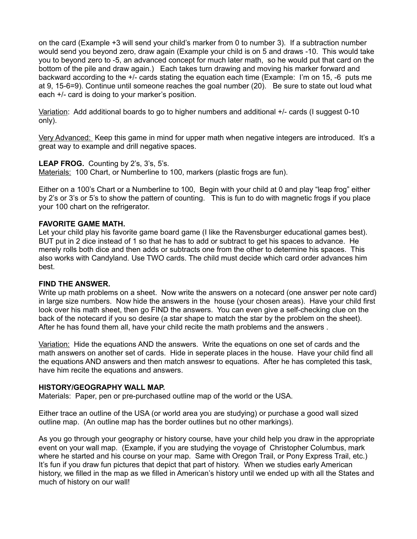on the card (Example +3 will send your child's marker from 0 to number 3). If a subtraction number would send you beyond zero, draw again (Example your child is on 5 and draws -10. This would take you to beyond zero to -5, an advanced concept for much later math, so he would put that card on the bottom of the pile and draw again.) Each takes turn drawing and moving his marker forward and backward according to the +/- cards stating the equation each time (Example: I'm on 15, -6 puts me at 9, 15-6=9). Continue until someone reaches the goal number (20). Be sure to state out loud what each +/- card is doing to your marker's position.

Variation: Add additional boards to go to higher numbers and additional +/- cards (I suggest 0-10 only).

Very Advanced: Keep this game in mind for upper math when negative integers are introduced. It's a great way to example and drill negative spaces.

**LEAP FROG.** Counting by 2's, 3's, 5's. Materials: 100 Chart, or Numberline to 100, markers (plastic frogs are fun).

Either on a 100's Chart or a Numberline to 100, Begin with your child at 0 and play "leap frog" either by 2's or 3's or 5's to show the pattern of counting. This is fun to do with magnetic frogs if you place your 100 chart on the refrigerator.

#### **FAVORITE GAME MATH.**

Let your child play his favorite game board game (I like the Ravensburger educational games best). BUT put in 2 dice instead of 1 so that he has to add or subtract to get his spaces to advance. He merely rolls both dice and then adds or subtracts one from the other to determine his spaces. This also works with Candyland. Use TWO cards. The child must decide which card order advances him best.

#### **FIND THE ANSWER.**

Write up math problems on a sheet. Now write the answers on a notecard (one answer per note card) in large size numbers. Now hide the answers in the house (your chosen areas). Have your child first look over his math sheet, then go FIND the answers. You can even give a self-checking clue on the back of the notecard if you so desire (a star shape to match the star by the problem on the sheet). After he has found them all, have your child recite the math problems and the answers .

Variation: Hide the equations AND the answers. Write the equations on one set of cards and the math answers on another set of cards. Hide in seperate places in the house. Have your child find all the equations AND answers and then match answesr to equations. After he has completed this task, have him recite the equations and answers.

#### **HISTORY/GEOGRAPHY WALL MAP.**

Materials: Paper, pen or pre-purchased outline map of the world or the USA.

Either trace an outline of the USA (or world area you are studying) or purchase a good wall sized outline map. (An outline map has the border outlines but no other markings).

As you go through your geography or history course, have your child help you draw in the appropriate event on your wall map. (Example, if you are studying the voyage of Christopher Columbus, mark where he started and his course on your map. Same with Oregon Trail, or Pony Express Trail, etc.) It's fun if you draw fun pictures that depict that part of history. When we studies early American history, we filled in the map as we filled in American's history until we ended up with all the States and much of history on our wall!